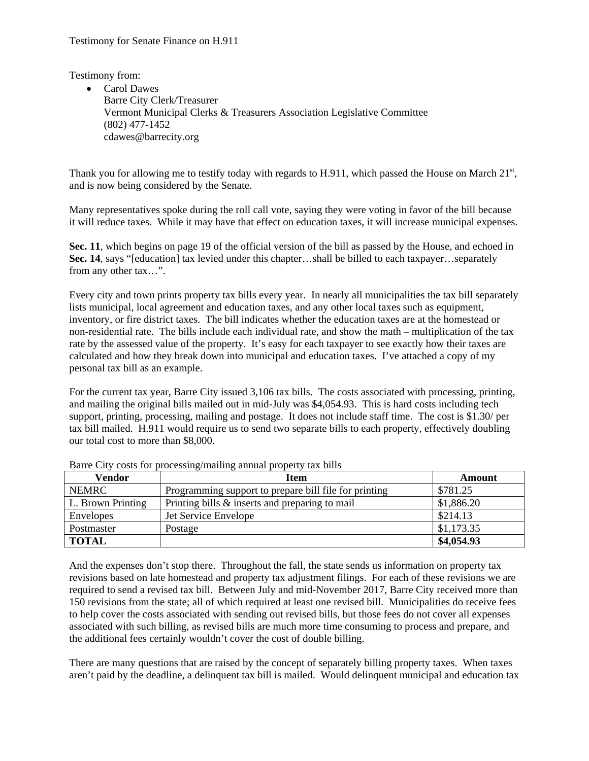Testimony from:

• Carol Dawes Barre City Clerk/Treasurer Vermont Municipal Clerks & Treasurers Association Legislative Committee (802) 477-1452 cdawes@barrecity.org

Thank you for allowing me to testify today with regards to H.911, which passed the House on March  $21<sup>st</sup>$ , and is now being considered by the Senate.

Many representatives spoke during the roll call vote, saying they were voting in favor of the bill because it will reduce taxes. While it may have that effect on education taxes, it will increase municipal expenses.

**Sec. 11**, which begins on page 19 of the official version of the bill as passed by the House, and echoed in **Sec. 14**, says "[education] tax levied under this chapter…shall be billed to each taxpayer…separately from any other tax…".

Every city and town prints property tax bills every year. In nearly all municipalities the tax bill separately lists municipal, local agreement and education taxes, and any other local taxes such as equipment, inventory, or fire district taxes. The bill indicates whether the education taxes are at the homestead or non-residential rate. The bills include each individual rate, and show the math – multiplication of the tax rate by the assessed value of the property. It's easy for each taxpayer to see exactly how their taxes are calculated and how they break down into municipal and education taxes. I've attached a copy of my personal tax bill as an example.

For the current tax year, Barre City issued 3,106 tax bills. The costs associated with processing, printing, and mailing the original bills mailed out in mid-July was \$4,054.93. This is hard costs including tech support, printing, processing, mailing and postage. It does not include staff time. The cost is \$1.30/ per tax bill mailed. H.911 would require us to send two separate bills to each property, effectively doubling our total cost to more than \$8,000.

| Vendor            | <b>Item</b>                                           | Amount     |
|-------------------|-------------------------------------------------------|------------|
| <b>NEMRC</b>      | Programming support to prepare bill file for printing | \$781.25   |
| L. Brown Printing | Printing bills & inserts and preparing to mail        | \$1,886.20 |
| Envelopes         | Jet Service Envelope                                  | \$214.13   |
| Postmaster        | Postage                                               | \$1,173.35 |
| <b>TOTAL</b>      |                                                       | \$4,054.93 |

Barre City costs for processing/mailing annual property tax bills

And the expenses don't stop there. Throughout the fall, the state sends us information on property tax revisions based on late homestead and property tax adjustment filings. For each of these revisions we are required to send a revised tax bill. Between July and mid-November 2017, Barre City received more than 150 revisions from the state; all of which required at least one revised bill. Municipalities do receive fees to help cover the costs associated with sending out revised bills, but those fees do not cover all expenses associated with such billing, as revised bills are much more time consuming to process and prepare, and the additional fees certainly wouldn't cover the cost of double billing.

There are many questions that are raised by the concept of separately billing property taxes. When taxes aren't paid by the deadline, a delinquent tax bill is mailed. Would delinquent municipal and education tax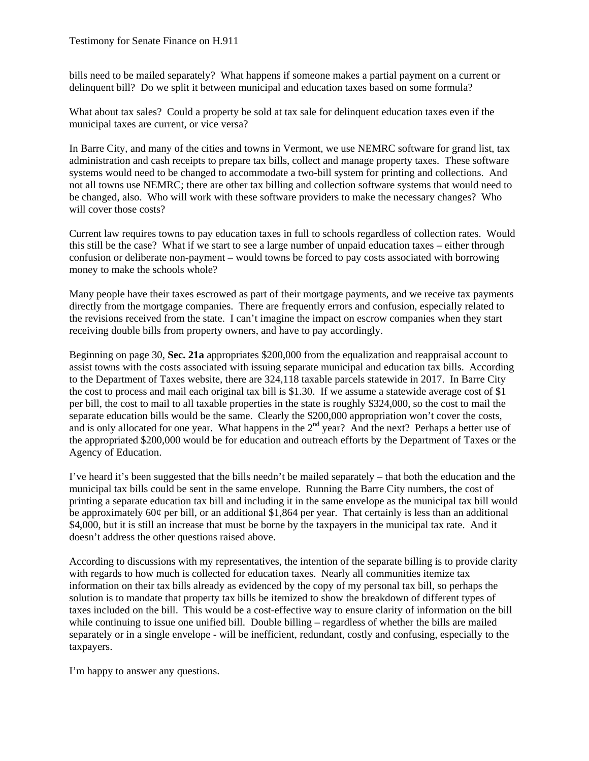bills need to be mailed separately? What happens if someone makes a partial payment on a current or delinquent bill? Do we split it between municipal and education taxes based on some formula?

What about tax sales? Could a property be sold at tax sale for delinquent education taxes even if the municipal taxes are current, or vice versa?

In Barre City, and many of the cities and towns in Vermont, we use NEMRC software for grand list, tax administration and cash receipts to prepare tax bills, collect and manage property taxes. These software systems would need to be changed to accommodate a two-bill system for printing and collections. And not all towns use NEMRC; there are other tax billing and collection software systems that would need to be changed, also. Who will work with these software providers to make the necessary changes? Who will cover those costs?

Current law requires towns to pay education taxes in full to schools regardless of collection rates. Would this still be the case? What if we start to see a large number of unpaid education taxes – either through confusion or deliberate non-payment – would towns be forced to pay costs associated with borrowing money to make the schools whole?

Many people have their taxes escrowed as part of their mortgage payments, and we receive tax payments directly from the mortgage companies. There are frequently errors and confusion, especially related to the revisions received from the state. I can't imagine the impact on escrow companies when they start receiving double bills from property owners, and have to pay accordingly.

Beginning on page 30, **Sec. 21a** appropriates \$200,000 from the equalization and reappraisal account to assist towns with the costs associated with issuing separate municipal and education tax bills. According to the Department of Taxes website, there are 324,118 taxable parcels statewide in 2017. In Barre City the cost to process and mail each original tax bill is \$1.30. If we assume a statewide average cost of \$1 per bill, the cost to mail to all taxable properties in the state is roughly \$324,000, so the cost to mail the separate education bills would be the same. Clearly the \$200,000 appropriation won't cover the costs, and is only allocated for one year. What happens in the 2<sup>nd</sup> year? And the next? Perhaps a better use of the appropriated \$200,000 would be for education and outreach efforts by the Department of Taxes or the Agency of Education.

I've heard it's been suggested that the bills needn't be mailed separately – that both the education and the municipal tax bills could be sent in the same envelope. Running the Barre City numbers, the cost of printing a separate education tax bill and including it in the same envelope as the municipal tax bill would be approximately 60 $\varphi$  per bill, or an additional \$1,864 per year. That certainly is less than an additional \$4,000, but it is still an increase that must be borne by the taxpayers in the municipal tax rate. And it doesn't address the other questions raised above.

According to discussions with my representatives, the intention of the separate billing is to provide clarity with regards to how much is collected for education taxes. Nearly all communities itemize tax information on their tax bills already as evidenced by the copy of my personal tax bill, so perhaps the solution is to mandate that property tax bills be itemized to show the breakdown of different types of taxes included on the bill. This would be a cost-effective way to ensure clarity of information on the bill while continuing to issue one unified bill. Double billing – regardless of whether the bills are mailed separately or in a single envelope - will be inefficient, redundant, costly and confusing, especially to the taxpayers.

I'm happy to answer any questions.